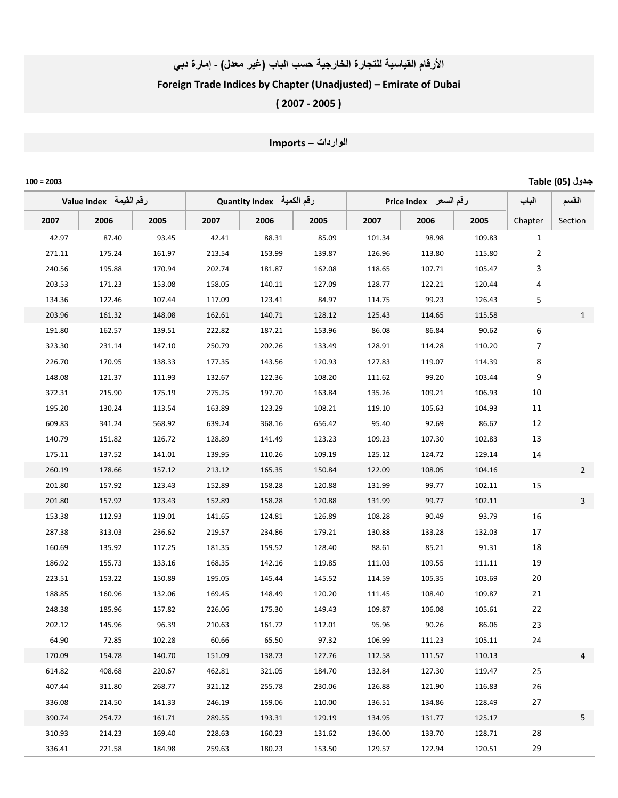### الأرقام القياسية للتجارة الخارجية حسب الباب (غير معلل) - إمارة دبي

## Foreign Trade Indices by Chapter (Unadjusted) – Emirate of Dubai

( 2007 ‐ 2005 )

# الواردات – Imports

|      | Table (05) بدول<br>$100 = 2003$ |        |                           |        |        |                       |        |        |        |                |                |
|------|---------------------------------|--------|---------------------------|--------|--------|-----------------------|--------|--------|--------|----------------|----------------|
|      | لرقم القيمة    Value Index      |        | رقم الكمية Quantity Index |        |        | رقم السعر Price Index |        |        | الباب  | القسم          |                |
| 2007 |                                 | 2006   | 2005                      | 2007   | 2006   | 2005                  | 2007   | 2006   | 2005   | Chapter        | Section        |
|      | 42.97                           | 87.40  | 93.45                     | 42.41  | 88.31  | 85.09                 | 101.34 | 98.98  | 109.83 | 1              |                |
|      | 271.11                          | 175.24 | 161.97                    | 213.54 | 153.99 | 139.87                | 126.96 | 113.80 | 115.80 | $\overline{2}$ |                |
|      | 240.56                          | 195.88 | 170.94                    | 202.74 | 181.87 | 162.08                | 118.65 | 107.71 | 105.47 | 3              |                |
|      | 203.53                          | 171.23 | 153.08                    | 158.05 | 140.11 | 127.09                | 128.77 | 122.21 | 120.44 | 4              |                |
|      | 134.36                          | 122.46 | 107.44                    | 117.09 | 123.41 | 84.97                 | 114.75 | 99.23  | 126.43 | 5              |                |
|      | 203.96                          | 161.32 | 148.08                    | 162.61 | 140.71 | 128.12                | 125.43 | 114.65 | 115.58 |                | $\mathbf{1}$   |
|      | 191.80                          | 162.57 | 139.51                    | 222.82 | 187.21 | 153.96                | 86.08  | 86.84  | 90.62  | 6              |                |
|      | 323.30                          | 231.14 | 147.10                    | 250.79 | 202.26 | 133.49                | 128.91 | 114.28 | 110.20 | 7              |                |
|      | 226.70                          | 170.95 | 138.33                    | 177.35 | 143.56 | 120.93                | 127.83 | 119.07 | 114.39 | 8              |                |
|      | 148.08                          | 121.37 | 111.93                    | 132.67 | 122.36 | 108.20                | 111.62 | 99.20  | 103.44 | 9              |                |
|      | 372.31                          | 215.90 | 175.19                    | 275.25 | 197.70 | 163.84                | 135.26 | 109.21 | 106.93 | 10             |                |
|      | 195.20                          | 130.24 | 113.54                    | 163.89 | 123.29 | 108.21                | 119.10 | 105.63 | 104.93 | 11             |                |
|      | 609.83                          | 341.24 | 568.92                    | 639.24 | 368.16 | 656.42                | 95.40  | 92.69  | 86.67  | 12             |                |
|      | 140.79                          | 151.82 | 126.72                    | 128.89 | 141.49 | 123.23                | 109.23 | 107.30 | 102.83 | 13             |                |
|      | 175.11                          | 137.52 | 141.01                    | 139.95 | 110.26 | 109.19                | 125.12 | 124.72 | 129.14 | 14             |                |
|      | 260.19                          | 178.66 | 157.12                    | 213.12 | 165.35 | 150.84                | 122.09 | 108.05 | 104.16 |                | $\overline{2}$ |
|      | 201.80                          | 157.92 | 123.43                    | 152.89 | 158.28 | 120.88                | 131.99 | 99.77  | 102.11 | 15             |                |
|      | 201.80                          | 157.92 | 123.43                    | 152.89 | 158.28 | 120.88                | 131.99 | 99.77  | 102.11 |                | $\mathsf{3}$   |
|      | 153.38                          | 112.93 | 119.01                    | 141.65 | 124.81 | 126.89                | 108.28 | 90.49  | 93.79  | 16             |                |
|      | 287.38                          | 313.03 | 236.62                    | 219.57 | 234.86 | 179.21                | 130.88 | 133.28 | 132.03 | $17\,$         |                |
|      | 160.69                          | 135.92 | 117.25                    | 181.35 | 159.52 | 128.40                | 88.61  | 85.21  | 91.31  | 18             |                |
|      | 186.92                          | 155.73 | 133.16                    | 168.35 | 142.16 | 119.85                | 111.03 | 109.55 | 111.11 | 19             |                |
|      | 223.51                          | 153.22 | 150.89                    | 195.05 | 145.44 | 145.52                | 114.59 | 105.35 | 103.69 | 20             |                |
|      | 188.85                          | 160.96 | 132.06                    | 169.45 | 148.49 | 120.20                | 111.45 | 108.40 | 109.87 | 21             |                |
|      | 248.38                          | 185.96 | 157.82                    | 226.06 | 175.30 | 149.43                | 109.87 | 106.08 | 105.61 | 22             |                |
|      | 202.12                          | 145.96 | 96.39                     | 210.63 | 161.72 | 112.01                | 95.96  | 90.26  | 86.06  | 23             |                |
|      | 64.90                           | 72.85  | 102.28                    | 60.66  | 65.50  | 97.32                 | 106.99 | 111.23 | 105.11 | 24             |                |
|      | 170.09                          | 154.78 | 140.70                    | 151.09 | 138.73 | 127.76                | 112.58 | 111.57 | 110.13 |                | 4              |
|      | 614.82                          | 408.68 | 220.67                    | 462.81 | 321.05 | 184.70                | 132.84 | 127.30 | 119.47 | 25             |                |
|      | 407.44                          | 311.80 | 268.77                    | 321.12 | 255.78 | 230.06                | 126.88 | 121.90 | 116.83 | 26             |                |
|      | 336.08                          | 214.50 | 141.33                    | 246.19 | 159.06 | 110.00                | 136.51 | 134.86 | 128.49 | 27             |                |
|      | 390.74                          | 254.72 | 161.71                    | 289.55 | 193.31 | 129.19                | 134.95 | 131.77 | 125.17 |                | 5              |
|      | 310.93                          | 214.23 | 169.40                    | 228.63 | 160.23 | 131.62                | 136.00 | 133.70 | 128.71 | 28             |                |
|      | 336.41                          | 221.58 | 184.98                    | 259.63 | 180.23 | 153.50                | 129.57 | 122.94 | 120.51 | 29             |                |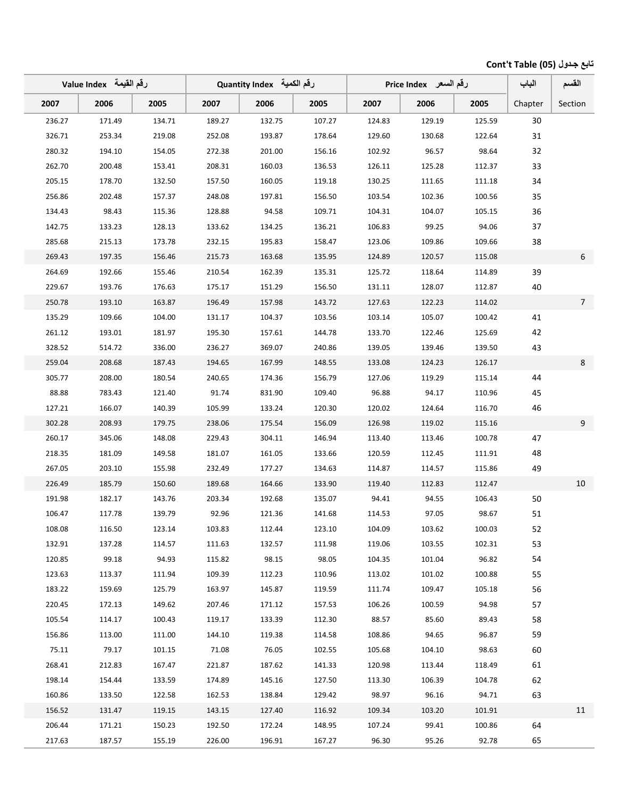### تابع جدول (05) Cont't Table

|        | لرقم القيمة   Value Index |        |        | رقم الكمية Quantity Index |        | رقم السعر _ Price Index |        |        | الباب   | القسم           |
|--------|---------------------------|--------|--------|---------------------------|--------|-------------------------|--------|--------|---------|-----------------|
| 2007   | 2006                      | 2005   | 2007   | 2006                      | 2005   | 2007                    | 2006   | 2005   | Chapter | Section         |
| 236.27 | 171.49                    | 134.71 | 189.27 | 132.75                    | 107.27 | 124.83                  | 129.19 | 125.59 | 30      |                 |
| 326.71 | 253.34                    | 219.08 | 252.08 | 193.87                    | 178.64 | 129.60                  | 130.68 | 122.64 | 31      |                 |
| 280.32 | 194.10                    | 154.05 | 272.38 | 201.00                    | 156.16 | 102.92                  | 96.57  | 98.64  | 32      |                 |
| 262.70 | 200.48                    | 153.41 | 208.31 | 160.03                    | 136.53 | 126.11                  | 125.28 | 112.37 | 33      |                 |
| 205.15 | 178.70                    | 132.50 | 157.50 | 160.05                    | 119.18 | 130.25                  | 111.65 | 111.18 | 34      |                 |
| 256.86 | 202.48                    | 157.37 | 248.08 | 197.81                    | 156.50 | 103.54                  | 102.36 | 100.56 | 35      |                 |
| 134.43 | 98.43                     | 115.36 | 128.88 | 94.58                     | 109.71 | 104.31                  | 104.07 | 105.15 | 36      |                 |
| 142.75 | 133.23                    | 128.13 | 133.62 | 134.25                    | 136.21 | 106.83                  | 99.25  | 94.06  | 37      |                 |
| 285.68 | 215.13                    | 173.78 | 232.15 | 195.83                    | 158.47 | 123.06                  | 109.86 | 109.66 | 38      |                 |
| 269.43 | 197.35                    | 156.46 | 215.73 | 163.68                    | 135.95 | 124.89                  | 120.57 | 115.08 |         | 6               |
| 264.69 | 192.66                    | 155.46 | 210.54 | 162.39                    | 135.31 | 125.72                  | 118.64 | 114.89 | 39      |                 |
| 229.67 | 193.76                    | 176.63 | 175.17 | 151.29                    | 156.50 | 131.11                  | 128.07 | 112.87 | 40      |                 |
| 250.78 | 193.10                    | 163.87 | 196.49 | 157.98                    | 143.72 | 127.63                  | 122.23 | 114.02 |         | $7\overline{ }$ |
| 135.29 | 109.66                    | 104.00 | 131.17 | 104.37                    | 103.56 | 103.14                  | 105.07 | 100.42 | 41      |                 |
| 261.12 | 193.01                    | 181.97 | 195.30 | 157.61                    | 144.78 | 133.70                  | 122.46 | 125.69 | 42      |                 |
| 328.52 | 514.72                    | 336.00 | 236.27 | 369.07                    | 240.86 | 139.05                  | 139.46 | 139.50 | 43      |                 |
| 259.04 | 208.68                    | 187.43 | 194.65 | 167.99                    | 148.55 | 133.08                  | 124.23 | 126.17 |         | 8               |
| 305.77 | 208.00                    | 180.54 | 240.65 | 174.36                    | 156.79 | 127.06                  | 119.29 | 115.14 | 44      |                 |
| 88.88  | 783.43                    | 121.40 | 91.74  | 831.90                    | 109.40 | 96.88                   | 94.17  | 110.96 | 45      |                 |
| 127.21 | 166.07                    | 140.39 | 105.99 | 133.24                    | 120.30 | 120.02                  | 124.64 | 116.70 | 46      |                 |
| 302.28 | 208.93                    | 179.75 | 238.06 | 175.54                    | 156.09 | 126.98                  | 119.02 | 115.16 |         | 9               |
| 260.17 | 345.06                    | 148.08 | 229.43 | 304.11                    | 146.94 | 113.40                  | 113.46 | 100.78 | 47      |                 |
| 218.35 | 181.09                    | 149.58 | 181.07 | 161.05                    | 133.66 | 120.59                  | 112.45 | 111.91 | 48      |                 |
| 267.05 | 203.10                    | 155.98 | 232.49 | 177.27                    | 134.63 | 114.87                  | 114.57 | 115.86 | 49      |                 |
| 226.49 | 185.79                    | 150.60 | 189.68 | 164.66                    | 133.90 | 119.40                  | 112.83 | 112.47 |         | 10              |
| 191.98 | 182.17                    | 143.76 | 203.34 | 192.68                    | 135.07 | 94.41                   | 94.55  | 106.43 | 50      |                 |
| 106.47 | 117.78                    | 139.79 | 92.96  | 121.36                    | 141.68 | 114.53                  | 97.05  | 98.67  | 51      |                 |
| 108.08 | 116.50                    | 123.14 | 103.83 | 112.44                    | 123.10 | 104.09                  | 103.62 | 100.03 | 52      |                 |
| 132.91 | 137.28                    | 114.57 | 111.63 | 132.57                    | 111.98 | 119.06                  | 103.55 | 102.31 | 53      |                 |
| 120.85 | 99.18                     | 94.93  | 115.82 | 98.15                     | 98.05  | 104.35                  | 101.04 | 96.82  | 54      |                 |
| 123.63 | 113.37                    | 111.94 | 109.39 | 112.23                    | 110.96 | 113.02                  | 101.02 | 100.88 | 55      |                 |
| 183.22 | 159.69                    | 125.79 | 163.97 | 145.87                    | 119.59 | 111.74                  | 109.47 | 105.18 | 56      |                 |
| 220.45 | 172.13                    | 149.62 | 207.46 | 171.12                    | 157.53 | 106.26                  | 100.59 | 94.98  | 57      |                 |
| 105.54 | 114.17                    | 100.43 | 119.17 | 133.39                    | 112.30 | 88.57                   | 85.60  | 89.43  | 58      |                 |
| 156.86 | 113.00                    | 111.00 | 144.10 | 119.38                    | 114.58 | 108.86                  | 94.65  | 96.87  | 59      |                 |
| 75.11  | 79.17                     | 101.15 | 71.08  | 76.05                     | 102.55 | 105.68                  | 104.10 | 98.63  | 60      |                 |
| 268.41 | 212.83                    | 167.47 | 221.87 | 187.62                    | 141.33 | 120.98                  | 113.44 | 118.49 | 61      |                 |
| 198.14 | 154.44                    | 133.59 | 174.89 | 145.16                    | 127.50 | 113.30                  | 106.39 | 104.78 | 62      |                 |
| 160.86 | 133.50                    | 122.58 | 162.53 | 138.84                    | 129.42 | 98.97                   | 96.16  | 94.71  | 63      |                 |
| 156.52 | 131.47                    | 119.15 | 143.15 | 127.40                    | 116.92 | 109.34                  | 103.20 | 101.91 |         | 11              |
| 206.44 | 171.21                    | 150.23 | 192.50 | 172.24                    | 148.95 | 107.24                  | 99.41  | 100.86 | 64      |                 |
| 217.63 | 187.57                    | 155.19 | 226.00 | 196.91                    | 167.27 | 96.30                   | 95.26  | 92.78  | 65      |                 |